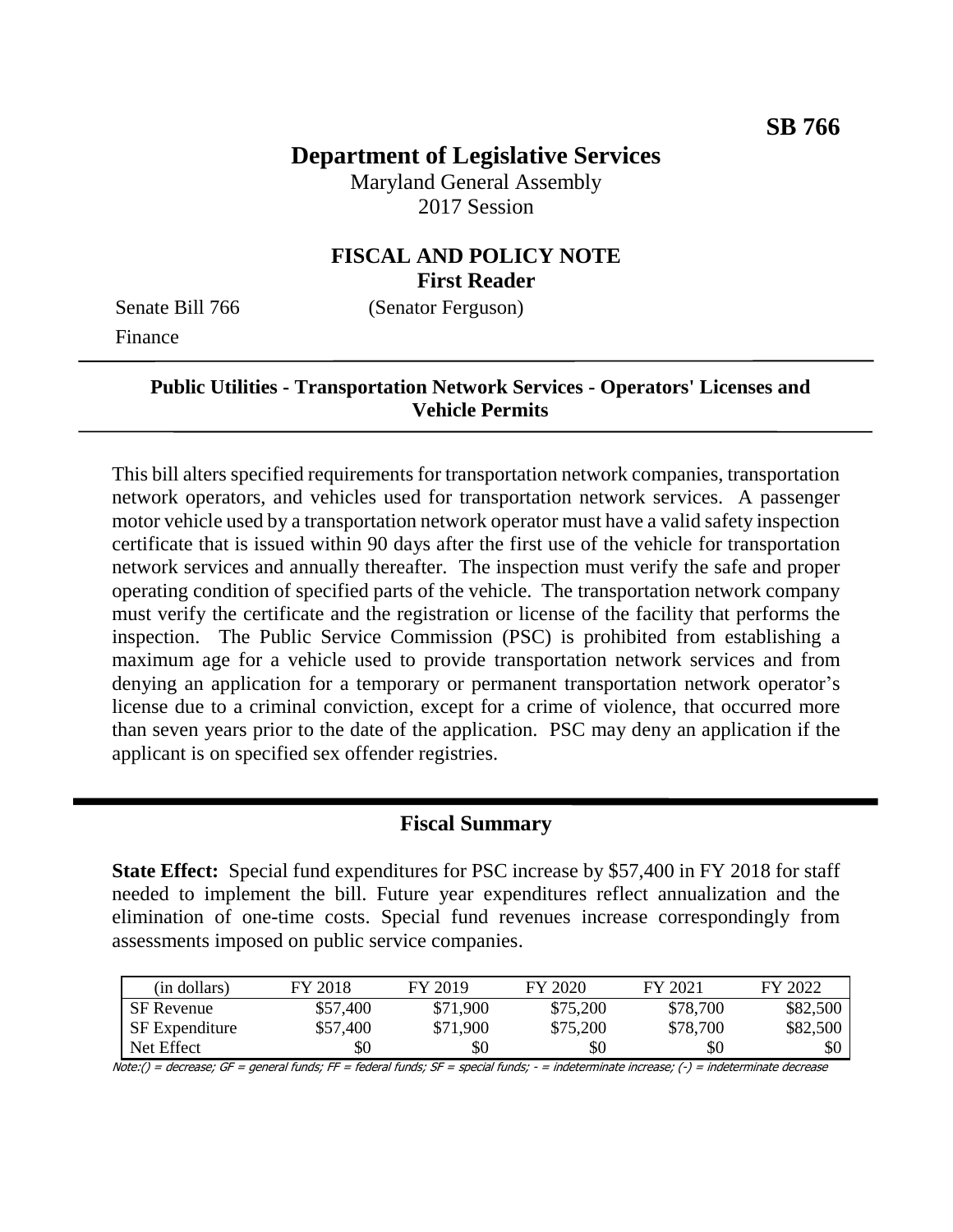# **Department of Legislative Services**

Maryland General Assembly 2017 Session

### **FISCAL AND POLICY NOTE First Reader**

Senate Bill 766 (Senator Ferguson) Finance

#### **Public Utilities - Transportation Network Services - Operators' Licenses and Vehicle Permits**

This bill alters specified requirements for transportation network companies, transportation network operators, and vehicles used for transportation network services. A passenger motor vehicle used by a transportation network operator must have a valid safety inspection certificate that is issued within 90 days after the first use of the vehicle for transportation network services and annually thereafter. The inspection must verify the safe and proper operating condition of specified parts of the vehicle. The transportation network company must verify the certificate and the registration or license of the facility that performs the inspection. The Public Service Commission (PSC) is prohibited from establishing a maximum age for a vehicle used to provide transportation network services and from denying an application for a temporary or permanent transportation network operator's license due to a criminal conviction, except for a crime of violence, that occurred more than seven years prior to the date of the application. PSC may deny an application if the applicant is on specified sex offender registries.

#### **Fiscal Summary**

**State Effect:** Special fund expenditures for PSC increase by \$57,400 in FY 2018 for staff needed to implement the bill. Future year expenditures reflect annualization and the elimination of one-time costs. Special fund revenues increase correspondingly from assessments imposed on public service companies.

| (in dollars)          | FY 2018  | FY 2019  | FY 2020  | FY 2021  | FY 2022  |
|-----------------------|----------|----------|----------|----------|----------|
| <b>SF</b> Revenue     | \$57,400 | \$71,900 | \$75,200 | \$78,700 | \$82,500 |
| <b>SF</b> Expenditure | \$57,400 | \$71,900 | \$75,200 | \$78,700 | \$82,500 |
| Net Effect            | \$0      | \$0      | \$0      | \$0      | \$0      |

Note:() = decrease; GF = general funds; FF = federal funds; SF = special funds; - = indeterminate increase; (-) = indeterminate decrease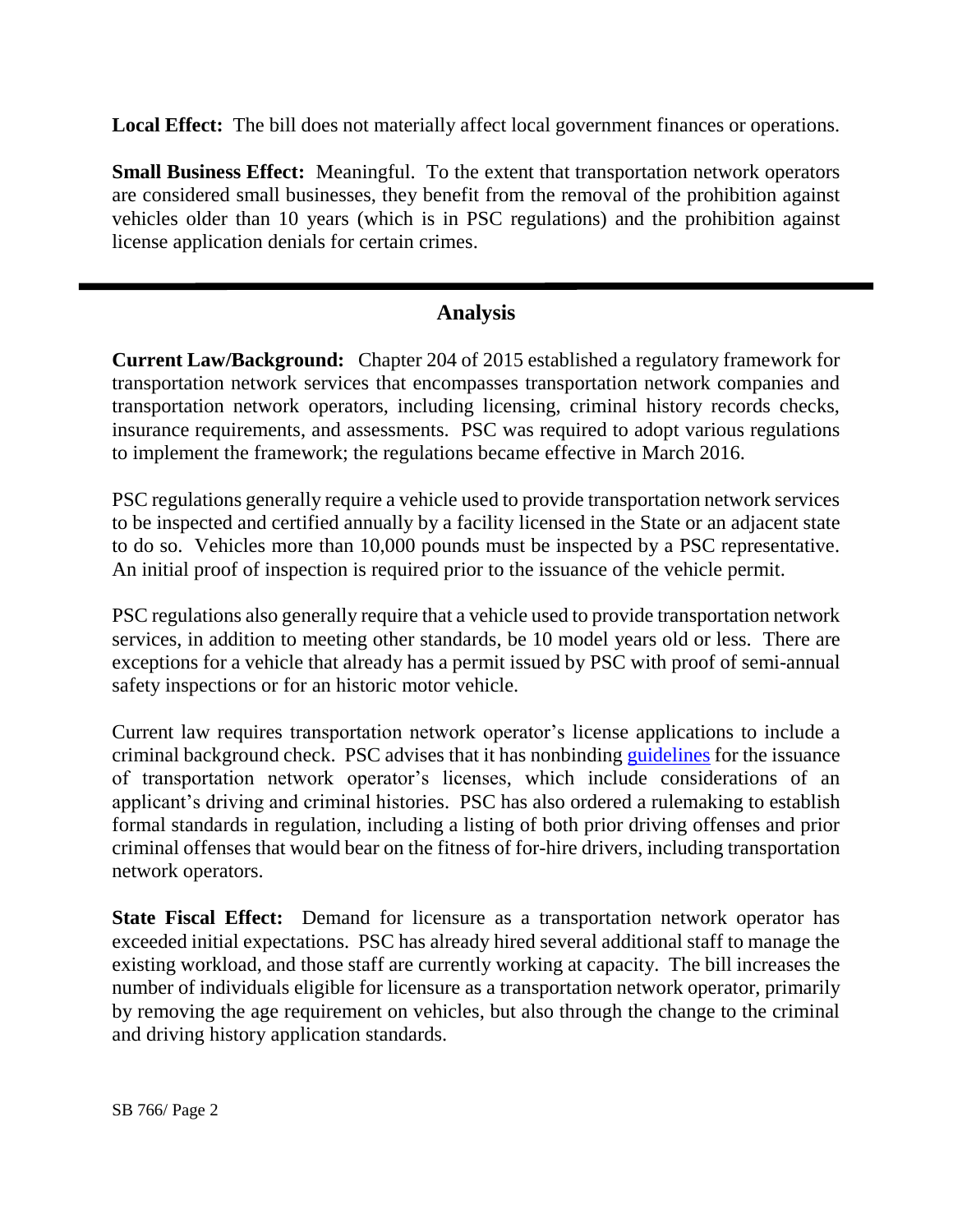**Local Effect:** The bill does not materially affect local government finances or operations.

**Small Business Effect:** Meaningful. To the extent that transportation network operators are considered small businesses, they benefit from the removal of the prohibition against vehicles older than 10 years (which is in PSC regulations) and the prohibition against license application denials for certain crimes.

## **Analysis**

**Current Law/Background:** Chapter 204 of 2015 established a regulatory framework for transportation network services that encompasses transportation network companies and transportation network operators, including licensing, criminal history records checks, insurance requirements, and assessments. PSC was required to adopt various regulations to implement the framework; the regulations became effective in March 2016.

PSC regulations generally require a vehicle used to provide transportation network services to be inspected and certified annually by a facility licensed in the State or an adjacent state to do so. Vehicles more than 10,000 pounds must be inspected by a PSC representative. An initial proof of inspection is required prior to the issuance of the vehicle permit.

PSC regulations also generally require that a vehicle used to provide transportation network services, in addition to meeting other standards, be 10 model years old or less. There are exceptions for a vehicle that already has a permit issued by PSC with proof of semi-annual safety inspections or for an historic motor vehicle.

Current law requires transportation network operator's license applications to include a criminal background check. PSC advises that it has nonbinding [guidelines](https://urldefense.proofpoint.com/v2/url?u=http-3A__www.psc.state.md.us_transportation_wp-2Dcontent_uploads_sites_6_Transportation-2DDivision-2DInternal-2DCriminal-2DGuidelines-2D1.pdf&d=DwMFaQ&c=Gp5PoQfTj9yjDt8XV2x6aql0UnCZXhNkdBYbfDClWas&r=X1QHGXP5sD_9L-retwTvGqgecucbkhaP2T9BAtzuLgY&m=3KRTUzsNhfh7LDn95U_ES3zBnJG1XGMrQAlCSaJegcI&s=w_Y8U0ZNIGb7ZWDaK_S2NWAG9qGG32kahwIxDOTDPPI&e=) for the issuance of transportation network operator's licenses, which include considerations of an applicant's driving and criminal histories. PSC has also ordered a rulemaking to establish formal standards in regulation, including a listing of both prior driving offenses and prior criminal offenses that would bear on the fitness of for-hire drivers, including transportation network operators.

**State Fiscal Effect:** Demand for licensure as a transportation network operator has exceeded initial expectations. PSC has already hired several additional staff to manage the existing workload, and those staff are currently working at capacity. The bill increases the number of individuals eligible for licensure as a transportation network operator, primarily by removing the age requirement on vehicles, but also through the change to the criminal and driving history application standards.